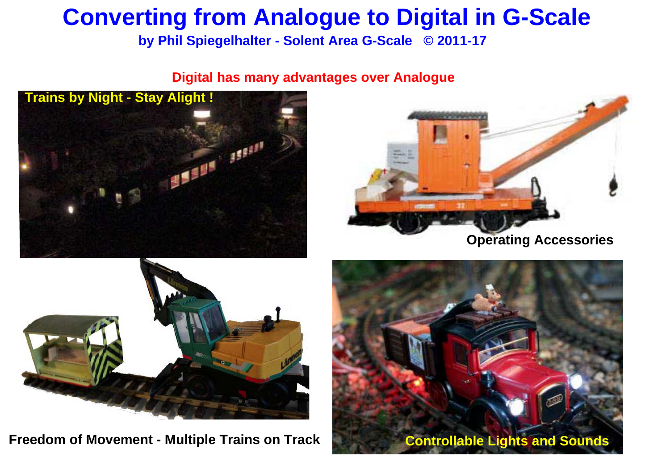**by Phil Spiegelhalter - Solent Area G-Scale © 2011-17**

### **Digital has many advantages over Analogue**





**Freedom of Movement - Multiple Trains on Track Controllable Lights and Sounds** 





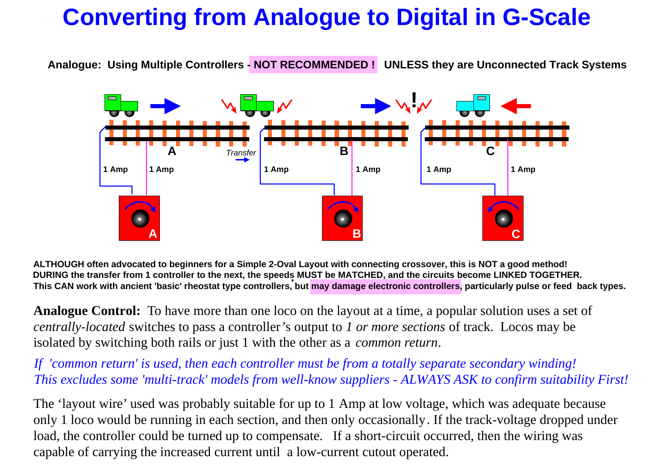**Analogue: Using Multiple Controllers - NOT RECOMMENDED ! UNLESS they are Unconnected Track Systems**

**ALTHOUGH often advocated to beginners for a Simple 2-Oval Layout with connecting crossover, this is NOT a good method!** DURING the transfer from 1 controller to the next, the speeds MUST be MATCHED, and the circuits become LINKED TOGETHER. **This CAN work with ancient 'basic' rheostat type controllers, but may damage electronic controllers, particularly pulse or feed back types.** 

**Analogue Control:** To have more than one loco on the layout at a time, a popular solution uses a set of *centrally-located* switches to pass a controller's output to *1 or more sections* of track. Locos may be isolated by switching both rails or just 1 with the other as a *common return*.



The 'layout wire' used was probably suitable for up to 1 Amp at low voltage, which was adequate because only 1 loco would be running in each section, and then only occasionally. If the track-voltage dropped under load, the controller could be turned up to compensate. If a short-circuit occurred, then the wiring was capable of carrying the increased current until a low-current cutout operated.



*If 'common return' is used, then each controller must be from a totally separate secondary winding! This excludes some 'multi-track' models from well-know suppliers - ALWAYS ASK to confirm suitability First!*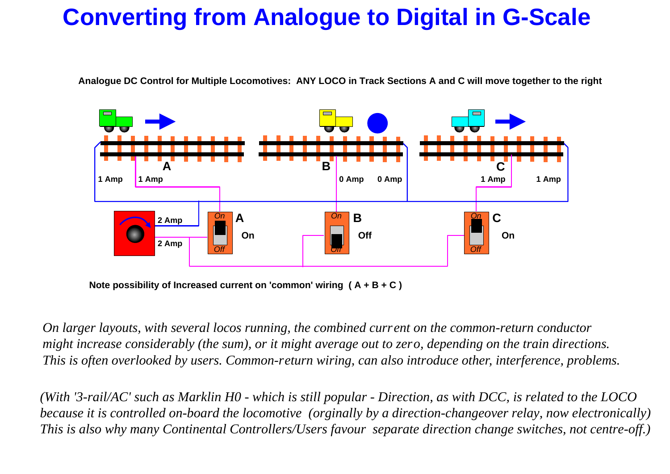**Analogue DC Control for Multiple Locomotives: ANY LOCO in Track Sections A and C will move together to the right**



**Note possibility of Increased current on 'common' wiring ( A + B + C )**

*On larger layouts, with several locos running, the combined current on the common-return conductor might increase considerably (the sum), or it might average out to zero, depending on the train directions. This is often overlooked by users. Common-return wiring, can also introduce other, interference, problems.*

*(With '3-rail/AC' such as Marklin H0 - which is still popular - Direction, as with DCC, is related to the LOCO because it is controlled on-board the locomotive (orginally by a direction-changeover relay, now electronically) This is also why many Continental Controllers/Users favour separate direction change switches, not centre-off.)*

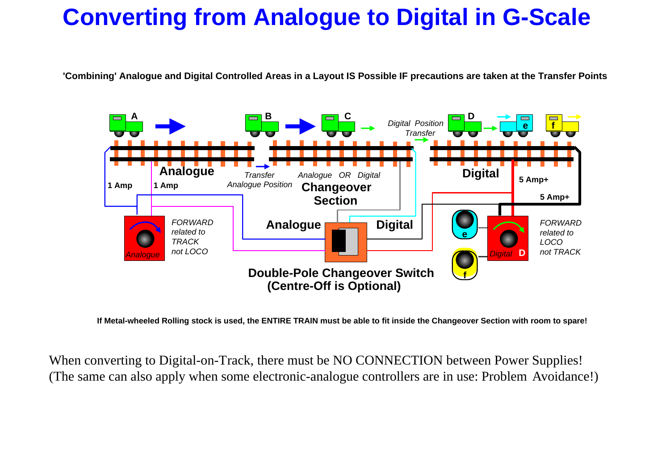**'Combining' Analogue and Digital Controlled Areas in a Layout IS Possible IF precautions are taken at the Transfer Points**

When converting to Digital-on-Track, there must be NO CONNECTION between Power Supplies! (The same can also apply when some electronic-analogue controllers are in use: Problem Avoidance!)





**If Metal-wheeled Rolling stock is used, the ENTIRE TRAIN must be able to fit inside the Changeover Section with room to spare!**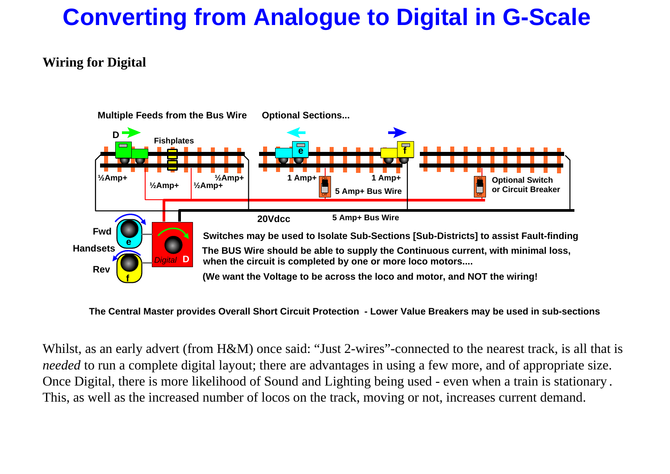### **Wiring for Digital**

Whilst, as an early advert (from H&M) once said: "Just 2-wires"-connected to the nearest track, is all that is *needed* to run a complete digital layout; there are advantages in using a few more, and of appropriate size. Once Digital, there is more likelihood of Sound and Lighting being used - even when a train is stationary . This, as well as the increased number of locos on the track, moving or not, increases current demand.



- 
- 
- 



**The Central Master provides Overall Short Circuit Protection - Lower Value Breakers may be used in sub-sections**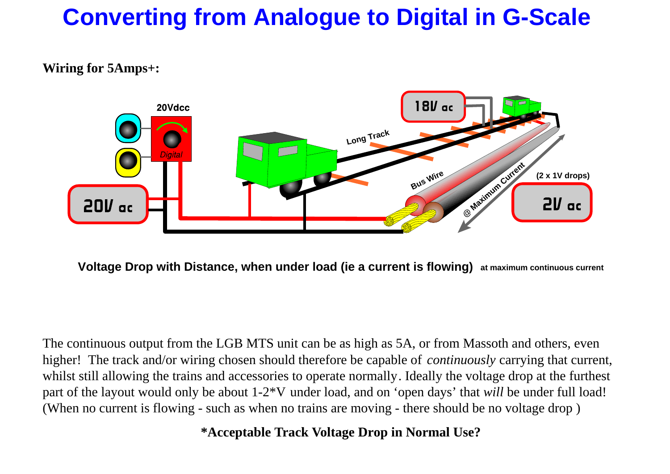### **Wiring for 5Amps+:**



**Voltage Drop with Distance, when under load (ie a current is flowing) at maximum continuous current**

The continuous output from the LGB MTS unit can be as high as 5A, or from Massoth and others, even higher! The track and/or wiring chosen should therefore be capable of *continuously* carrying that current, whilst still allowing the trains and accessories to operate normally. Ideally the voltage drop at the furthest part of the layout would only be about 1-2\*V under load, and on 'open days' that *will* be under full load! (When no current is flowing - such as when no trains are moving - there should be no voltage drop )

**\*Acceptable Track Voltage Drop in Normal Use?**

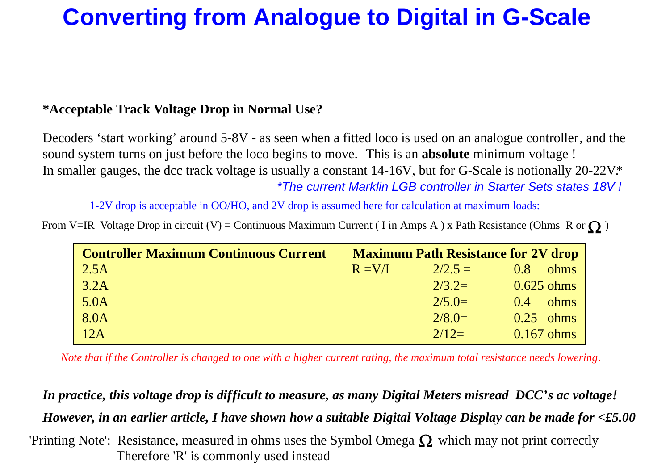### **\*Acceptable Track Voltage Drop in Normal Use?**

From V=IR Voltage Drop in circuit (V) = Continuous Maximum Current (I in Amps A) x Path Resistance (Ohms R or  $\Omega$ )

| <b>Controller Maximum Continuous Current</b> |          | <b>Maximum Path Resistance for 2V drop</b> |               |
|----------------------------------------------|----------|--------------------------------------------|---------------|
| 2.5A                                         | $R = VA$ | $2/2.5 = 1$                                | 0.8<br>ohms   |
| 3.2A                                         |          | $2/3.2=$                                   | $0.625$ ohms  |
| 5.0A                                         |          | $2/5.0=$                                   | ohms<br>(0.4) |
| 8.0A                                         |          | $2/8.0=$                                   | $0.25$ ohms   |
| 12A                                          |          | $2/12=$                                    | $0.167$ ohms  |

1-2V drop is acceptable in OO/HO, and 2V drop is assumed here for calculation at maximum loads:

Decoders 'start working' around 5-8V - as seen when a fitted loco is used on an analogue controller, and the sound system turns on just before the loco begins to move. This is an **absolute** minimum voltage ! In smaller gauges, the dcc track voltage is usually a constant 14-16V, but for G-Scale is notionally 20-22V.\* \*The current Marklin LGB controller in Starter Sets states 18V !

'Printing Note': Resistance, measured in ohms uses the Symbol Omega  $\Omega$  which may not print correctly Therefore 'R' is commonly used instead



 *Note that if the Controller is changed to one with a higher current rating, the maximum total resistance needs lowering*.

### *In practice, this voltage drop is difficult to measure, as many Digital Meters misread DCC's ac voltage!*

### *However, in an earlier article, I have shown how a suitable Digital Voltage Display can be made for <£5.00*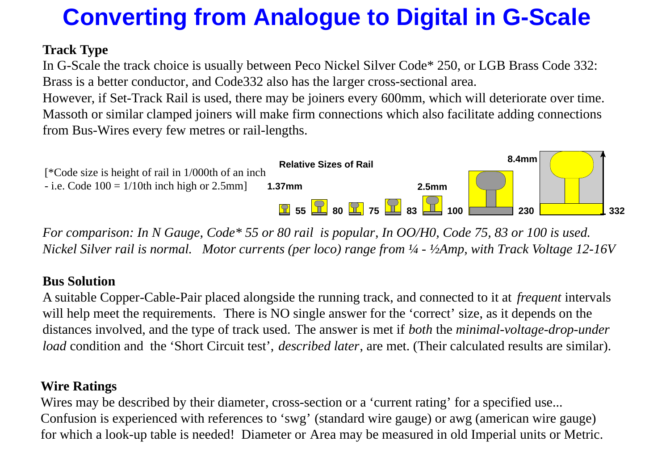### **Track Type**

In G-Scale the track choice is usually between Peco Nickel Silver Code\* 250, or LGB Brass Code 332: Brass is a better conductor, and Code332 also has the larger cross-sectional area. However, if Set-Track Rail is used, there may be joiners every 600mm, which will deteriorate over time. Massoth or similar clamped joiners will make firm connections which also facilitate adding connections from Bus-Wires every few metres or rail-lengths.



*For comparison: In N Gauge, Code\* 55 or 80 rail is popular, In OO/H0, Code 75, 83 or 100 is used. Nickel Silver rail is normal. Motor currents (per loco) range from ¼ - ½Amp, with Track Voltage 12-16V*

Wires may be described by their diameter, cross-section or a 'current rating' for a specified use... Confusion is experienced with references to 'swg' (standard wire gauge) or awg (american wire gauge) for which a look-up table is needed! Diameter or Area may be measured in old Imperial units or Metric.



### **Bus Solution**

A suitable Copper-Cable-Pair placed alongside the running track, and connected to it at *frequent* intervals will help meet the requirements. There is NO single answer for the 'correct' size, as it depends on the distances involved, and the type of track used. The answer is met if *both* the *minimal-voltage-drop-under load* condition and the 'Short Circuit test', *described later*, are met. (Their calculated results are similar).

### **Wire Ratings**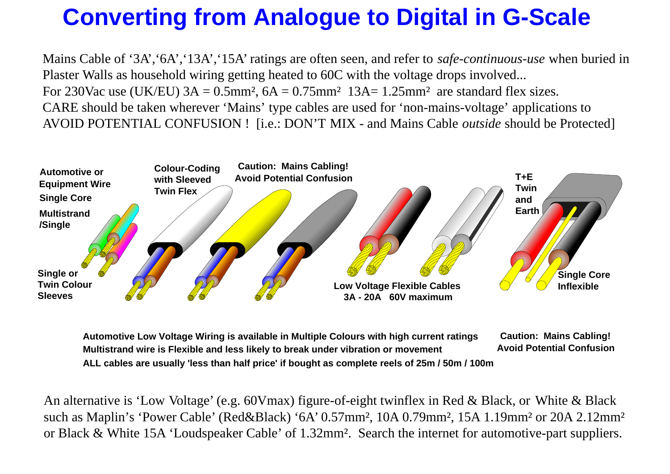Mains Cable of '3A','6A','13A','15A' ratings are often seen, and refer to *safe-continuous-use* when buried in Plaster Walls as household wiring getting heated to 60C with the voltage drops involved... For 230Vac use (UK/EU)  $3A = 0.5$ mm<sup>2</sup>,  $6A = 0.75$ mm<sup>2</sup> 13A= 1.25mm<sup>2</sup> are standard flex sizes. CARE should be taken wherever 'Mains' type cables are used for 'non-mains-voltage' applications to AVOID POTENTIAL CONFUSION ! [i.e.: DON'T MIX - and Mains Cable *outside* should be Protected]

An alternative is 'Low Voltage' (e.g. 60Vmax) figure-of-eight twinflex in Red & Black, or White & Black such as Maplin's 'Power Cable' (Red&Black) '6A' 0.57mm<sup>2</sup>, 10A 0.79mm<sup>2</sup>, 15A 1.19mm<sup>2</sup> or 20A 2.12mm<sup>2</sup> or Black & White 15A 'Loudspeaker Cable' of 1.32mm<sup>2</sup>. Search the internet for automotive-part suppliers.



**Automotive Low Voltage Wiring is available in Multiple Colours with high current ratings Multistrand wire is Flexible and less likely to break under vibration or movement Caution: Mains Cabling! Avoid Potential ConfusionALL cables are usually 'less than half price' if bought as complete reels of 25m / 50m / 100m**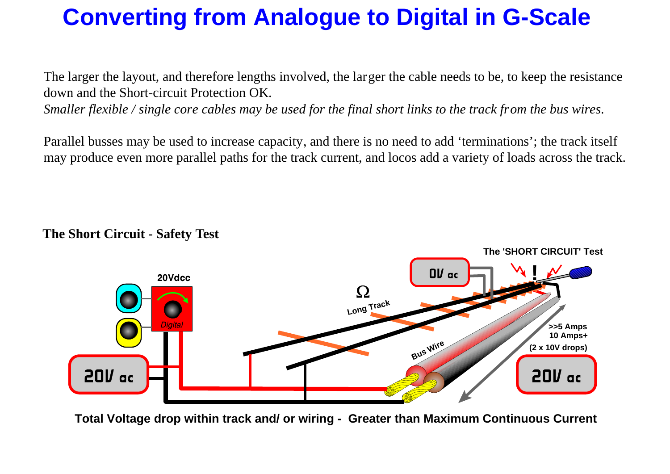**The Short Circuit - Safety Test**

### **The 'SHORT CIRCUIT' Test**



**Total Voltage drop within track and/ or wiring - Greater than Maximum Continuous Current**

The larger the layout, and therefore lengths involved, the larger the cable needs to be, to keep the resistance down and the Short-circuit Protection OK.

*Smaller flexible / single core cables may be used for the final short links to the track from the bus wires*.

Parallel busses may be used to increase capacity, and there is no need to add 'terminations'; the track itself may produce even more parallel paths for the track current, and locos add a variety of loads across the track.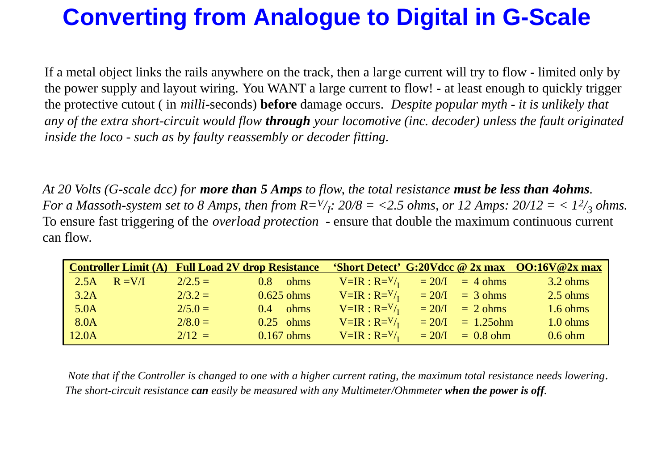*At 20 Volts (G-scale dcc) for more than 5 Amps to flow, the total resistance must be less than 4ohms.* For a Massoth-system set to 8 Amps, then from  $R = V/I$ : 20/8 = <2.5 ohms, or 12 Amps: 20/12 = < 1<sup>2</sup>/<sub>3</sub> ohms. To ensure fast triggering of the *overload protection* - ensure that double the maximum continuous current can flow.

Note that if the Controller is changed to one with a higher current rating, the maximum total resistance needs lowering.  *The short-cir cuit resistance can easily be measured with any Multimeter/Ohmmeter when the power is off.*

|       |           |           | <b>Controller Limit (A) Full Load 2V drop Resistance</b> |                               |                           | 'Short Detect' G:20Vdcc @ 2x max OO:16V@2x max |
|-------|-----------|-----------|----------------------------------------------------------|-------------------------------|---------------------------|------------------------------------------------|
| 2.5A  | $R = V/I$ | $2/2.5 =$ | <b>ohms</b><br>0.8                                       | $V=IR: R=V/I$ = 20/I = 4 ohms |                           | $3.2 \text{ ohms}$                             |
| 3.2A  |           | $2/3.2 =$ | $0.625$ ohms                                             | $V=IR:R=V/I$                  | $= 20/I$ = 3 ohms         | $2.5 \text{ ohms}$                             |
| 5.0A  |           | $2/5.0 =$ | $0.4$ ohms                                               | $V=IR:R=V/$                   | $= 20/1 = 2 \text{ ohms}$ | $1.6 \text{ ohms}$                             |
| 8.0A  |           | $2/8.0 =$ | $0.25$ ohms                                              | $V=IR:R=V/$                   | $= 20/1 = 1.25$ ohm       | $1.0 \text{ ohms}$                             |
| 12.0A |           | $2/12 =$  | $0.167$ ohms                                             | $V=IR: R=V/{}_{I}$            | $\vert$ = 20/I = 0.8 ohm  | $0.6$ ohm                                      |

If a metal object links the rails anywhere on the track, then a large current will try to flow - limited only by the power supply and layout wiring. You WANT a large current to flow! - at least enough to quickly trigger the protective cutout ( in *milli*-seconds) **before** damage occurs. *Despite popular myth - it is unlikely that any of the extra short-circuit would flow through your locomotive (inc. decoder) unless the fault originated inside the loco - such as by faulty reassembly or decoder fitting.*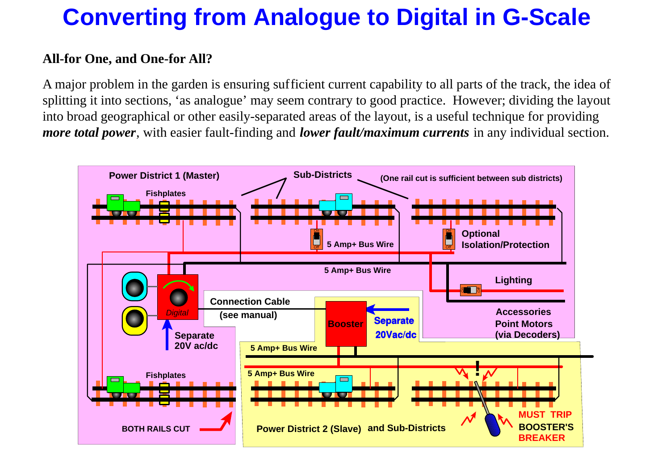### **All-for One, and One-for All?**

A major problem in the garden is ensuring sufficient current capability to all parts of the track, the idea of splitting it into sections, 'as analogue' may seem contrary to good practice. However; dividing the layout into broad geographical or other easily-separated areas of the layout, is a useful technique for providing *more total power*, with easier fault-finding and *lower fault/maximum currents* in any individual section.

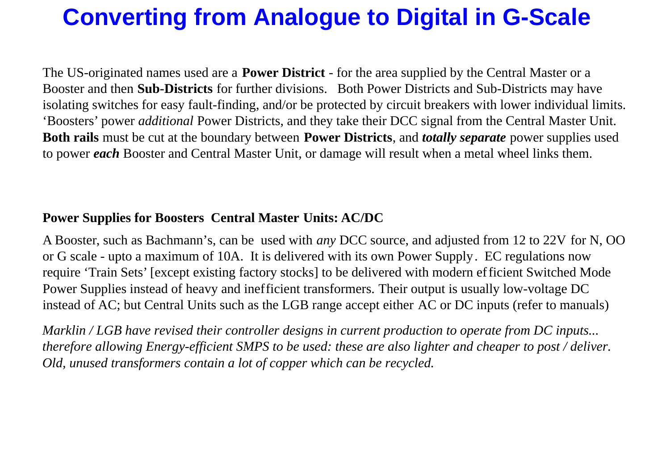The US-originated names used are a **Power District** - for the area supplied by the Central Master or a Booster and then **Sub-Districts** for further divisions. Both Power Districts and Sub-Districts may have isolating switches for easy fault-finding, and/or be protected by circuit breakers with lower individual limits. 'Boosters' power *additional* Power Districts, and they take their DCC signal from the Central Master Unit. **Both rails** must be cut at the boundary between **Power Districts**, and *totally separate* power supplies used to power *each* Booster and Central Master Unit, or damage will result when a metal wheel links them.

### **Power Supplies for Boosters Central Master Units: AC/DC**

A Booster, such as Bachmann's, can be used with *any* DCC source, and adjusted from 12 to 22V for N, OO or G scale - upto a maximum of 10A. It is delivered with its own Power Supply. EC regulations now require 'Train Sets' [except existing factory stocks] to be delivered with modern efficient Switched Mode Power Supplies instead of heavy and inefficient transformers. Their output is usually low-voltage DC instead of AC; but Central Units such as the LGB range accept either AC or DC inputs (refer to manuals)

*Marklin / LGB have revised their controller designs in current production to operate from DC inputs... therefore allowing Energy-efficient SMPS to be used: these are also lighter and cheaper to post / deliver. Old, unused transformers contain a lot of copper which can be recycled.*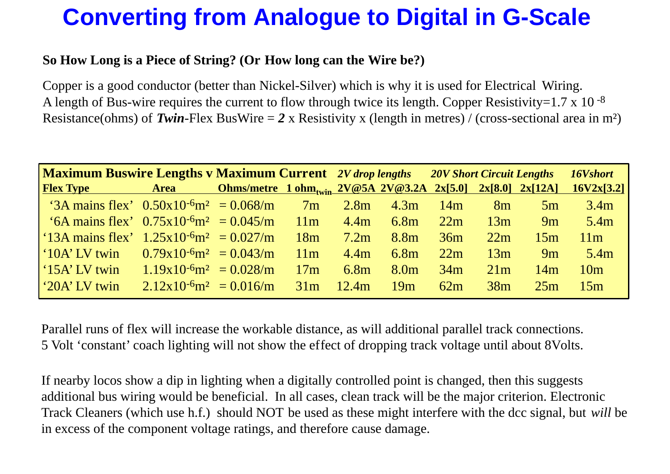### **So How Long is a Piece of String? (Or How long can the Wire be?)**

Copper is a good conductor (better than Nickel-Silver) which is why it is used for Electrical Wiring. A length of Bus-wire requires the current to flow through twice its length. Copper Resistivity=1.7 x 10 $-8$ Resistance(ohms) of *Twin*-Flex BusWire = *2* x Resistivity x (length in metres) / (cross-sectional area in m²)

| <b>Maximum Buswire Lengths v Maximum Current</b> 2V drop lengths |                                                |                                                                                          |     |                  |                  |     |     | <b>20V Short Circuit Lengths</b> | 16Vshort        |
|------------------------------------------------------------------|------------------------------------------------|------------------------------------------------------------------------------------------|-----|------------------|------------------|-----|-----|----------------------------------|-----------------|
| <b>Flex Type</b>                                                 | Area                                           | <u> Ohms/metre 1 ohm<sub>twin</sub> 2V@5A 2V@3.2A 2x[5.0] 2x[8.0] 2x[12A] 16V2x[3.2]</u> |     |                  |                  |     |     |                                  |                 |
| '3A mains flex' $0.50x10^{-6}$ m <sup>2</sup> = $0.068/m$        |                                                |                                                                                          | 7m  | 2.8 <sub>m</sub> | 4.3m             | 14m | 8m  | 5m                               | 3.4m            |
| '6A mains flex' $0.75x10^{-6}$ m <sup>2</sup> = $0.045/m$        |                                                |                                                                                          | 11m | 4.4m             | 6.8m             | 22m | 13m | 9m                               | 5.4m            |
| '13A mains flex' $1.25x10^{-6}$ m <sup>2</sup> = 0.027/m         |                                                |                                                                                          | 18m | 7.2m             | 8.8m             | 36m | 22m | 15m                              | 11m             |
| $\mid$ '10A' LV twin                                             | $0.79x10^{-6}m^2 = 0.043/m$                    |                                                                                          | 11m | 4.4m             | 6.8m             | 22m | 13m | 9m                               | 5.4m            |
| $\int$ 15A' LV twin                                              | $1.19x10^{-6}m^2 = 0.028/m$                    |                                                                                          | 17m | 6.8 <sub>m</sub> | 8.0 <sub>m</sub> | 34m | 21m | 14m                              | 10 <sub>m</sub> |
| $\frac{1}{20A}$ LV twin                                          | $2.12 \times 10^{-6}$ m <sup>2</sup> = 0.016/m |                                                                                          | 31m | 12.4m            | 19m              | 62m | 38m | 25m                              | 15m             |

Parallel runs of flex will increase the workable distance, as will additional parallel track connections. 5 Volt 'constant' coach lighting will not show the effect of dropping track voltage until about 8Volts.

If nearby locos show a dip in lighting when a digitally controlled point is changed, then this suggests additional bus wiring would be beneficial. In all cases, clean track will be the major criterion. Electronic Track Cleaners (which use h.f.) should NOT be used as these might interfere with the dcc signal, but *will* be in excess of the component voltage ratings, and therefore cause damage.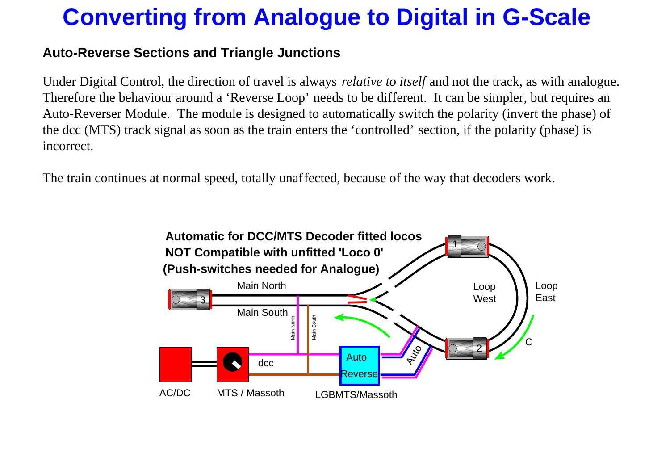### **Auto-Reverse Sections and Triangle Junctions**

Under Digital Control, the direction of travel is always *relative to itself* and not the track, as with analogue. Therefore the behaviour around a 'Reverse Loop' needs to be different. It can be simpler, but requires an Auto-Reverser Module. The module is designed to automatically switch the polarity (invert the phase) of the dcc (MTS) track signal as soon as the train enters the 'controlled' section, if the polarity (phase) is incorrect.

The train continues at normal speed, totally unaffected, because of the way that decoders work.

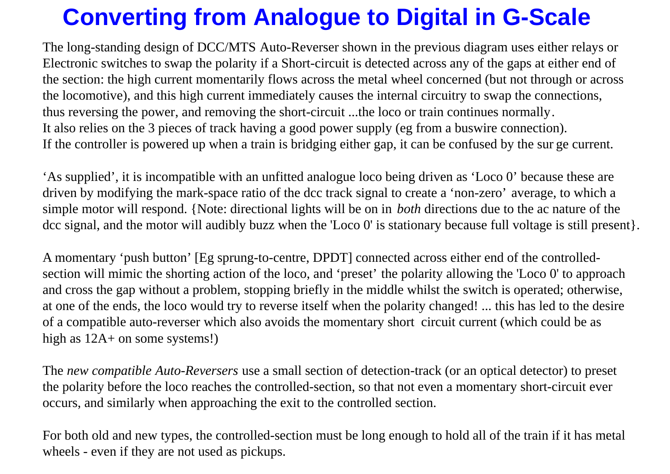The long-standing design of DCC/MTS Auto-Reverser shown in the previous diagram uses either relays or Electronic switches to swap the polarity if a Short-circuit is detected across any of the gaps at either end of the section: the high current momentarily flows across the metal wheel concerned (but not through or across the locomotive), and this high current immediately causes the internal circuitry to swap the connections, thus reversing the power, and removing the short-circuit ...the loco or train continues normally. It also relies on the 3 pieces of track having a good power supply (eg from a buswire connection). If the controller is powered up when a train is bridging either gap, it can be confused by the sur ge current.

A momentary 'push button' [Eg sprung-to-centre, DPDT] connected across either end of the controlledsection will mimic the shorting action of the loco, and 'preset' the polarity allowing the 'Loco 0' to approach and cross the gap without a problem, stopping briefly in the middle whilst the switch is operated; otherwise, at one of the ends, the loco would try to reverse itself when the polarity changed! ... this has led to the desire of a compatible auto-reverser which also avoids the momentary short circuit current (which could be as high as  $12A+$  on some systems!)

'As supplied', it is incompatible with an unfitted analogue loco being driven as 'Loco 0' because these are driven by modifying the mark-space ratio of the dcc track signal to create a 'non-zero' average, to which a simple motor will respond. {Note: directional lights will be on in *both* directions due to the ac nature of the dcc signal, and the motor will audibly buzz when the 'Loco 0' is stationary because full voltage is still present}.

The *new compatible Auto-Reversers* use a small section of detection-track (or an optical detector) to preset the polarity before the loco reaches the controlled-section, so that not even a momentary short-circuit ever occurs, and similarly when approaching the exit to the controlled section.

For both old and new types, the controlled-section must be long enough to hold all of the train if it has metal wheels - even if they are not used as pickups.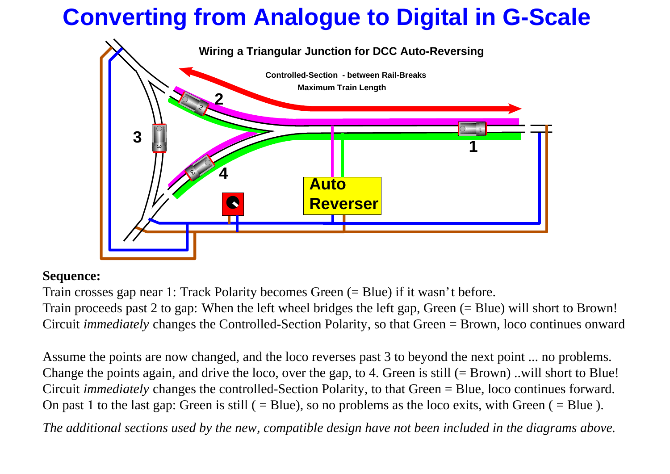

### **Sequence:**

Assume the points are now changed, and the loco reverses past 3 to beyond the next point ... no problems. Change the points again, and drive the loco, over the gap, to 4. Green is still  $(= Brown)$ . will short to Blue! Circuit *immediately* changes the controlled-Section Polarity, to that Green = Blue, loco continues forward. On past 1 to the last gap: Green is still  $( = Blue)$ , so no problems as the loco exits, with Green  $( = Blue)$ .

Train crosses gap near 1: Track Polarity becomes Green (= Blue) if it wasn't before. Train proceeds past 2 to gap: When the left wheel bridges the left gap, Green (= Blue) will short to Brown! Circuit *immediately* changes the Controlled-Section Polarity, so that Green = Brown, loco continues onward

*The additional sections used by the new, compatible design have not been included in the diagrams above.*



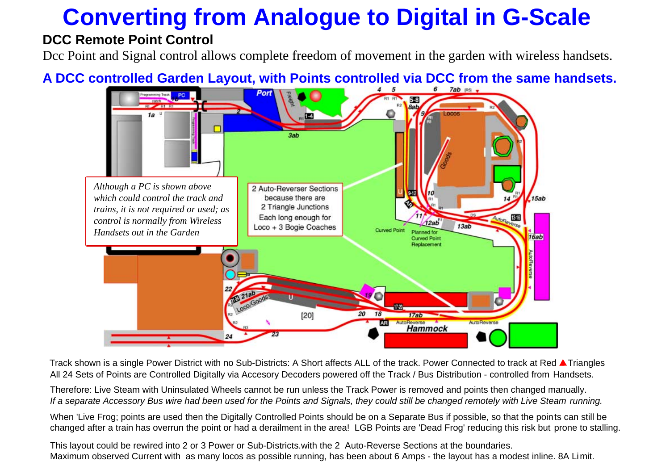### **DCC Remote Point Control**

Dcc Point and Signal control allows complete freedom of movement in the garden with wireless handsets.

### A DCC controlled Garden Layout, with Points controlled via DCC from the same handsets.

Track shown is a single Power District with no Sub-Districts: A Short affects ALL of the track. Power Connected to track at Red **A** Triangles All 24 Sets of Points are Controlled Digitally via Accesory Decoders powered off the Track / Bus Distribution - controlled from Handsets.

Therefore: Live Steam with Uninsulated Wheels cannot be run unless the Track Power is removed and points then changed manually. If a separate Accessory Bus wire had been used for the Points and Signals, they could still be changed remotely with Live Steam running.

When 'Live Frog; points are used then the Digitally Controlled Points should be on a Separate Bus if possible, so that the points can still be changed after a train has overrun the point or had a derailment in the area! LGB Points are 'Dead Frog' reducing this risk but prone to stalling.

This layout could be rewired into 2 or 3 Power or Sub-Districts.with the 2 Auto-Reverse Sections at the boundaries. Maximum observed Current with as many locos as possible running, has been about 6 Amps - the layout has a modest inline. 8A Limit.